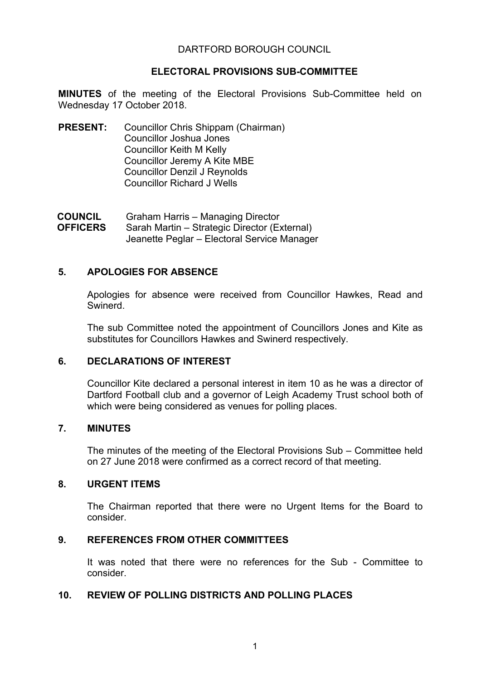# DARTFORD BOROUGH COUNCIL

# **ELECTORAL PROVISIONS SUB-COMMITTEE**

**MINUTES** of the meeting of the Electoral Provisions Sub-Committee held on Wednesday 17 October 2018.

**PRESENT:** Councillor Chris Shippam (Chairman) Councillor Joshua Jones Councillor Keith M Kelly Councillor Jeremy A Kite MBE Councillor Denzil J Reynolds Councillor Richard J Wells

**COUNCIL OFFICERS** Graham Harris – Managing Director Sarah Martin – Strategic Director (External) Jeanette Peglar – Electoral Service Manager

# **5. APOLOGIES FOR ABSENCE**

Apologies for absence were received from Councillor Hawkes, Read and Swinerd.

The sub Committee noted the appointment of Councillors Jones and Kite as substitutes for Councillors Hawkes and Swinerd respectively.

## **6. DECLARATIONS OF INTEREST**

Councillor Kite declared a personal interest in item 10 as he was a director of Dartford Football club and a governor of Leigh Academy Trust school both of which were being considered as venues for polling places.

## **7. MINUTES**

The minutes of the meeting of the Electoral Provisions Sub – Committee held on 27 June 2018 were confirmed as a correct record of that meeting.

## **8. URGENT ITEMS**

The Chairman reported that there were no Urgent Items for the Board to consider.

## **9. REFERENCES FROM OTHER COMMITTEES**

It was noted that there were no references for the Sub - Committee to consider.

## **10. REVIEW OF POLLING DISTRICTS AND POLLING PLACES**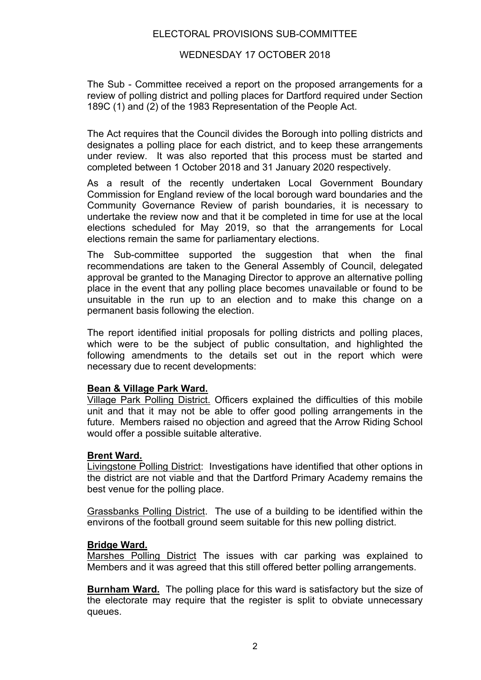## WEDNESDAY 17 OCTOBER 2018

The Sub - Committee received a report on the proposed arrangements for a review of polling district and polling places for Dartford required under Section 189C (1) and (2) of the 1983 Representation of the People Act.

The Act requires that the Council divides the Borough into polling districts and designates a polling place for each district, and to keep these arrangements under review. It was also reported that this process must be started and completed between 1 October 2018 and 31 January 2020 respectively.

As a result of the recently undertaken Local Government Boundary Commission for England review of the local borough ward boundaries and the Community Governance Review of parish boundaries, it is necessary to undertake the review now and that it be completed in time for use at the local elections scheduled for May 2019, so that the arrangements for Local elections remain the same for parliamentary elections.

The Sub-committee supported the suggestion that when the final recommendations are taken to the General Assembly of Council, delegated approval be granted to the Managing Director to approve an alternative polling place in the event that any polling place becomes unavailable or found to be unsuitable in the run up to an election and to make this change on a permanent basis following the election.

The report identified initial proposals for polling districts and polling places, which were to be the subject of public consultation, and highlighted the following amendments to the details set out in the report which were necessary due to recent developments:

## **Bean & Village Park Ward.**

Village Park Polling District. Officers explained the difficulties of this mobile unit and that it may not be able to offer good polling arrangements in the future. Members raised no objection and agreed that the Arrow Riding School would offer a possible suitable alterative.

## **Brent Ward.**

Livingstone Polling District: Investigations have identified that other options in the district are not viable and that the Dartford Primary Academy remains the best venue for the polling place.

Grassbanks Polling District. The use of a building to be identified within the environs of the football ground seem suitable for this new polling district.

## **Bridge Ward.**

Marshes Polling District The issues with car parking was explained to Members and it was agreed that this still offered better polling arrangements.

**Burnham Ward.** The polling place for this ward is satisfactory but the size of the electorate may require that the register is split to obviate unnecessary queues.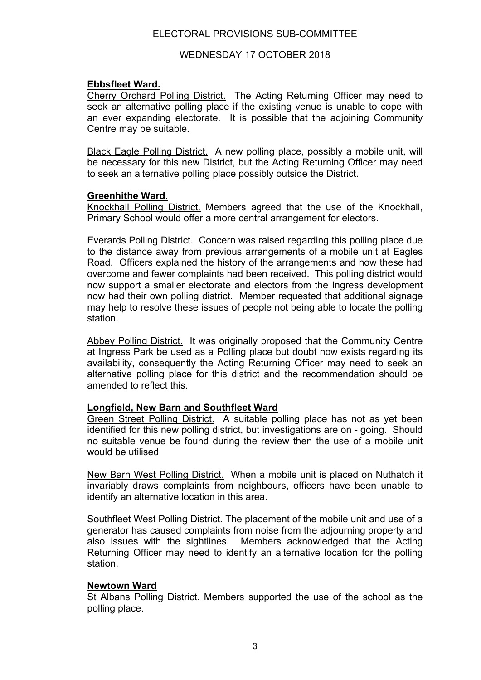# WEDNESDAY 17 OCTOBER 2018

# **Ebbsfleet Ward.**

Cherry Orchard Polling District. The Acting Returning Officer may need to seek an alternative polling place if the existing venue is unable to cope with an ever expanding electorate. It is possible that the adjoining Community Centre may be suitable.

Black Eagle Polling District. A new polling place, possibly a mobile unit, will be necessary for this new District, but the Acting Returning Officer may need to seek an alternative polling place possibly outside the District.

# **Greenhithe Ward.**

Knockhall Polling District. Members agreed that the use of the Knockhall, Primary School would offer a more central arrangement for electors.

Everards Polling District. Concern was raised regarding this polling place due to the distance away from previous arrangements of a mobile unit at Eagles Road. Officers explained the history of the arrangements and how these had overcome and fewer complaints had been received. This polling district would now support a smaller electorate and electors from the Ingress development now had their own polling district. Member requested that additional signage may help to resolve these issues of people not being able to locate the polling station.

Abbey Polling District. It was originally proposed that the Community Centre at Ingress Park be used as a Polling place but doubt now exists regarding its availability, consequently the Acting Returning Officer may need to seek an alternative polling place for this district and the recommendation should be amended to reflect this.

# **Longfield, New Barn and Southfleet Ward**

Green Street Polling District. A suitable polling place has not as yet been identified for this new polling district, but investigations are on - going. Should no suitable venue be found during the review then the use of a mobile unit would be utilised

New Barn West Polling District. When a mobile unit is placed on Nuthatch it invariably draws complaints from neighbours, officers have been unable to identify an alternative location in this area.

Southfleet West Polling District. The placement of the mobile unit and use of a generator has caused complaints from noise from the adjourning property and also issues with the sightlines. Members acknowledged that the Acting Returning Officer may need to identify an alternative location for the polling station.

# **Newtown Ward**

St Albans Polling District. Members supported the use of the school as the polling place.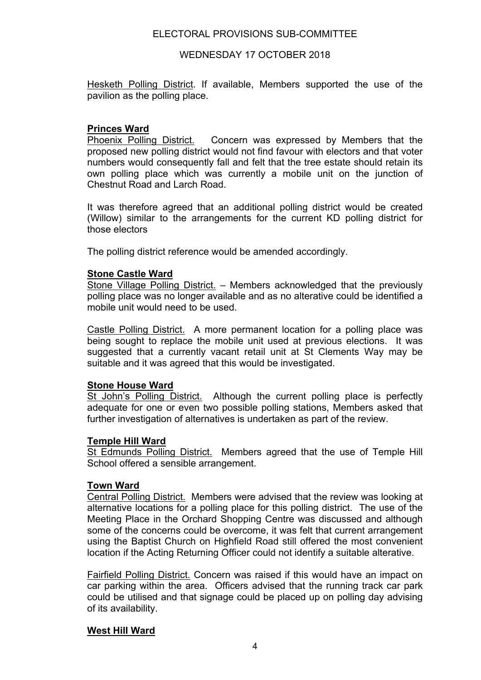## WEDNESDAY 17 OCTOBER 2018

Hesketh Polling District. If available, Members supported the use of the pavilion as the polling place.

# **Princes Ward**

Phoenix Polling District. Concern was expressed by Members that the proposed new polling district would not find favour with electors and that voter numbers would consequently fall and felt that the tree estate should retain its own polling place which was currently a mobile unit on the junction of Chestnut Road and Larch Road.

It was therefore agreed that an additional polling district would be created (Willow) similar to the arrangements for the current KD polling district for those electors

The polling district reference would be amended accordingly.

## **Stone Castle Ward**

Stone Village Polling District. – Members acknowledged that the previously polling place was no longer available and as no alterative could be identified a mobile unit would need to be used.

Castle Polling District. A more permanent location for a polling place was being sought to replace the mobile unit used at previous elections. It was suggested that a currently vacant retail unit at St Clements Way may be suitable and it was agreed that this would be investigated.

## **Stone House Ward**

St John's Polling District. Although the current polling place is perfectly adequate for one or even two possible polling stations, Members asked that further investigation of alternatives is undertaken as part of the review.

## **Temple Hill Ward**

St Edmunds Polling District. Members agreed that the use of Temple Hill School offered a sensible arrangement.

## **Town Ward**

Central Polling District. Members were advised that the review was looking at alternative locations for a polling place for this polling district. The use of the Meeting Place in the Orchard Shopping Centre was discussed and although some of the concerns could be overcome, it was felt that current arrangement using the Baptist Church on Highfield Road still offered the most convenient location if the Acting Returning Officer could not identify a suitable alterative.

Fairfield Polling District. Concern was raised if this would have an impact on car parking within the area. Officers advised that the running track car park could be utilised and that signage could be placed up on polling day advising of its availability.

# **West Hill Ward**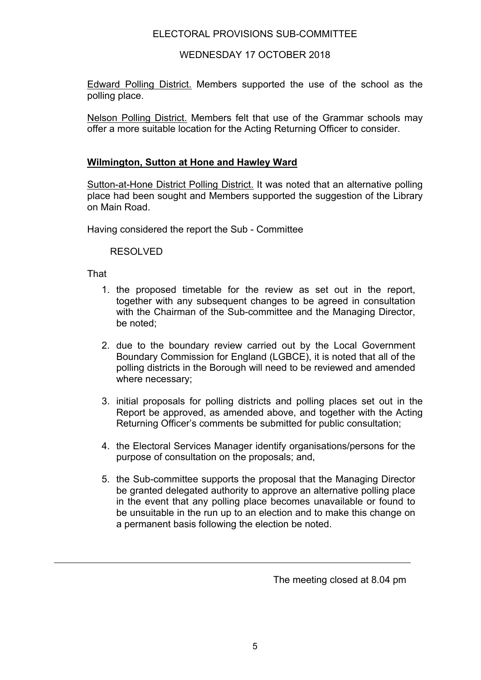WEDNESDAY 17 OCTOBER 2018

Edward Polling District. Members supported the use of the school as the polling place.

Nelson Polling District. Members felt that use of the Grammar schools may offer a more suitable location for the Acting Returning Officer to consider.

# **Wilmington, Sutton at Hone and Hawley Ward**

Sutton-at-Hone District Polling District. It was noted that an alternative polling place had been sought and Members supported the suggestion of the Library on Main Road.

Having considered the report the Sub - Committee

RESOLVED

That

- 1. the proposed timetable for the review as set out in the report, together with any subsequent changes to be agreed in consultation with the Chairman of the Sub-committee and the Managing Director, be noted;
- 2. due to the boundary review carried out by the Local Government Boundary Commission for England (LGBCE), it is noted that all of the polling districts in the Borough will need to be reviewed and amended where necessary;
- 3. initial proposals for polling districts and polling places set out in the Report be approved, as amended above, and together with the Acting Returning Officer's comments be submitted for public consultation;
- 4. the Electoral Services Manager identify organisations/persons for the purpose of consultation on the proposals; and,
- 5. the Sub-committee supports the proposal that the Managing Director be granted delegated authority to approve an alternative polling place in the event that any polling place becomes unavailable or found to be unsuitable in the run up to an election and to make this change on a permanent basis following the election be noted.

The meeting closed at 8.04 pm